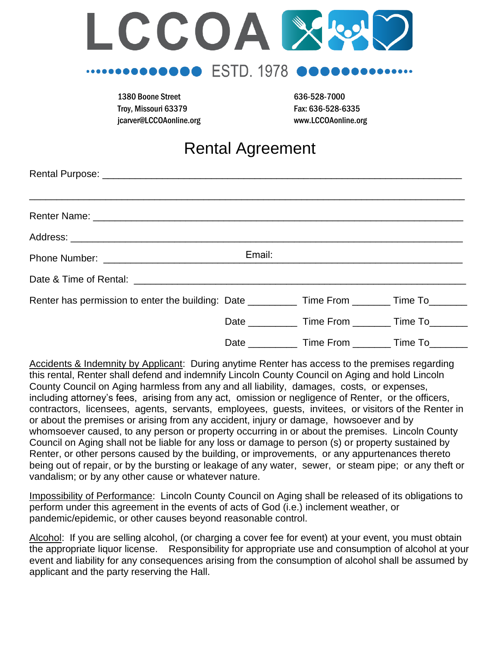

1380 Boone Street 636-528-7000 Troy, Missouri 63379 Fax: 636-528-6335 jcarver@LCCOAonline.org www.LCCOAonline.org

# Rental Agreement

|                                                                                                    | Email:          |                   |         |
|----------------------------------------------------------------------------------------------------|-----------------|-------------------|---------|
|                                                                                                    |                 |                   |         |
| Renter has permission to enter the building: Date _____________ Time From ________ Time To________ |                 |                   |         |
|                                                                                                    | Date __________ | Time From Time To |         |
|                                                                                                    | Date            | Time From         | Time To |

Accidents & Indemnity by Applicant: During anytime Renter has access to the premises regarding this rental, Renter shall defend and indemnify Lincoln County Council on Aging and hold Lincoln County Council on Aging harmless from any and all liability, damages, costs, or expenses, including attorney's fees, arising from any act, omission or negligence of Renter, or the officers, contractors, licensees, agents, servants, employees, guests, invitees, or visitors of the Renter in or about the premises or arising from any accident, injury or damage, howsoever and by whomsoever caused, to any person or property occurring in or about the premises. Lincoln County Council on Aging shall not be liable for any loss or damage to person (s) or property sustained by Renter, or other persons caused by the building, or improvements, or any appurtenances thereto being out of repair, or by the bursting or leakage of any water, sewer, or steam pipe; or any theft or vandalism; or by any other cause or whatever nature.

Impossibility of Performance: Lincoln County Council on Aging shall be released of its obligations to perform under this agreement in the events of acts of God (i.e.) inclement weather, or pandemic/epidemic, or other causes beyond reasonable control.

Alcohol: If you are selling alcohol, (or charging a cover fee for event) at your event, you must obtain the appropriate liquor license. Responsibility for appropriate use and consumption of alcohol at your event and liability for any consequences arising from the consumption of alcohol shall be assumed by applicant and the party reserving the Hall.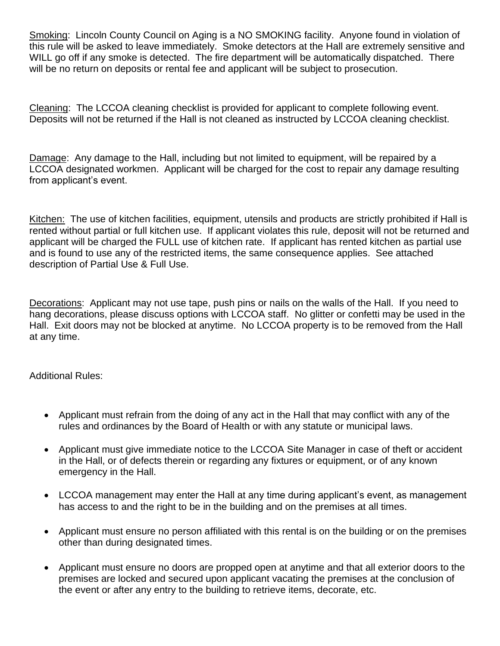Smoking: Lincoln County Council on Aging is a NO SMOKING facility. Anyone found in violation of this rule will be asked to leave immediately. Smoke detectors at the Hall are extremely sensitive and WILL go off if any smoke is detected. The fire department will be automatically dispatched. There will be no return on deposits or rental fee and applicant will be subject to prosecution.

Cleaning: The LCCOA cleaning checklist is provided for applicant to complete following event. Deposits will not be returned if the Hall is not cleaned as instructed by LCCOA cleaning checklist.

Damage: Any damage to the Hall, including but not limited to equipment, will be repaired by a LCCOA designated workmen. Applicant will be charged for the cost to repair any damage resulting from applicant's event.

Kitchen: The use of kitchen facilities, equipment, utensils and products are strictly prohibited if Hall is rented without partial or full kitchen use. If applicant violates this rule, deposit will not be returned and applicant will be charged the FULL use of kitchen rate. If applicant has rented kitchen as partial use and is found to use any of the restricted items, the same consequence applies. See attached description of Partial Use & Full Use.

Decorations: Applicant may not use tape, push pins or nails on the walls of the Hall. If you need to hang decorations, please discuss options with LCCOA staff. No glitter or confetti may be used in the Hall. Exit doors may not be blocked at anytime. No LCCOA property is to be removed from the Hall at any time.

Additional Rules:

- Applicant must refrain from the doing of any act in the Hall that may conflict with any of the rules and ordinances by the Board of Health or with any statute or municipal laws.
- Applicant must give immediate notice to the LCCOA Site Manager in case of theft or accident in the Hall, or of defects therein or regarding any fixtures or equipment, or of any known emergency in the Hall.
- LCCOA management may enter the Hall at any time during applicant's event, as management has access to and the right to be in the building and on the premises at all times.
- Applicant must ensure no person affiliated with this rental is on the building or on the premises other than during designated times.
- Applicant must ensure no doors are propped open at anytime and that all exterior doors to the premises are locked and secured upon applicant vacating the premises at the conclusion of the event or after any entry to the building to retrieve items, decorate, etc.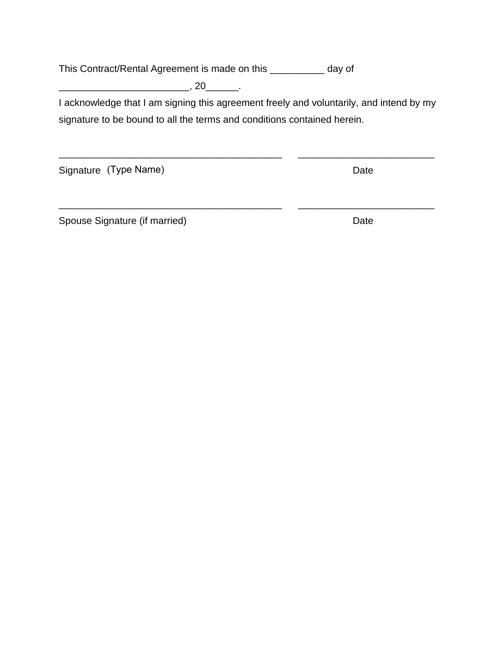This Contract/Rental Agreement is made on this \_\_\_\_\_\_\_\_\_\_ day of

 $\overline{\phantom{a}}$ , 20 $\overline{\phantom{a}}$ .

I acknowledge that I am signing this agreement freely and voluntarily, and intend by my signature to be bound to all the terms and conditions contained herein.

\_\_\_\_\_\_\_\_\_\_\_\_\_\_\_\_\_\_\_\_\_\_\_\_\_\_\_\_\_\_\_\_\_\_\_\_\_\_\_\_\_ \_\_\_\_\_\_\_\_\_\_\_\_\_\_\_\_\_\_\_\_\_\_\_\_\_

\_\_\_\_\_\_\_\_\_\_\_\_\_\_\_\_\_\_\_\_\_\_\_\_\_\_\_\_\_\_\_\_\_\_\_\_\_\_\_\_\_ \_\_\_\_\_\_\_\_\_\_\_\_\_\_\_\_\_\_\_\_\_\_\_\_\_

Signature (Type Name) and the settlement of the Date

Spouse Signature (if married) and the contract of the Date of Date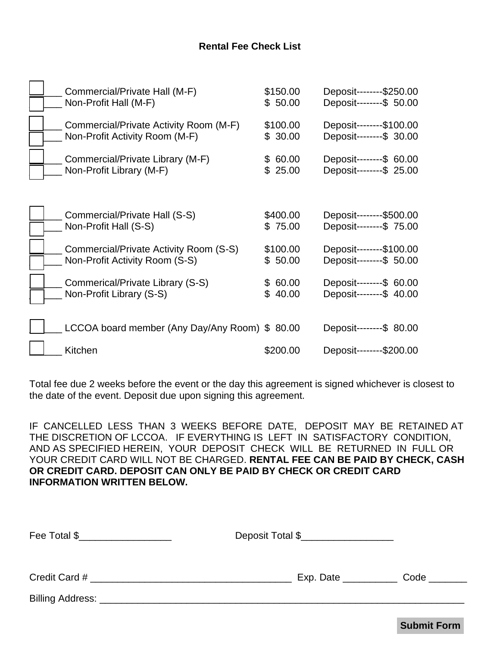## **Rental Fee Check List**

| Commercial/Private Hall (M-F)                 | \$150.00 | Deposit--------\$250.00  |
|-----------------------------------------------|----------|--------------------------|
| Non-Profit Hall (M-F)                         | \$50.00  | Deposit---------\$ 50.00 |
| Commercial/Private Activity Room (M-F)        | \$100.00 | Deposit--------\$100.00  |
| Non-Profit Activity Room (M-F)                | \$30.00  | Deposit---------\$ 30.00 |
| Commercial/Private Library (M-F)              | \$60.00  | Deposit---------\$ 60.00 |
| Non-Profit Library (M-F)                      | \$25.00  | Deposit--------\$ 25.00  |
| Commercial/Private Hall (S-S)                 | \$400.00 | Deposit--------\$500.00  |
| Non-Profit Hall (S-S)                         | \$75.00  | Deposit---------\$ 75.00 |
| Commercial/Private Activity Room (S-S)        | \$100.00 | Deposit--------\$100.00  |
| Non-Profit Activity Room (S-S)                | \$50.00  | Deposit---------\$ 50.00 |
| Commerical/Private Library (S-S)              | \$60.00  | Deposit---------\$ 60.00 |
| Non-Profit Library (S-S)                      | \$40.00  | Deposit---------\$ 40.00 |
| LCCOA board member (Any Day/Any Room) \$80.00 |          | Deposit---------\$ 80.00 |
| Kitchen                                       | \$200.00 |                          |

Total fee due 2 weeks before the event or the day this agreement is signed whichever is closest to the date of the event. Deposit due upon signing this agreement.

IF CANCELLED LESS THAN 3 WEEKS BEFORE DATE, DEPOSIT MAY BE RETAINED AT THE DISCRETION OF LCCOA. IF EVERYTHING IS LEFT IN SATISFACTORY CONDITION, AND AS SPECIFIED HEREIN, YOUR DEPOSIT CHECK WILL BE RETURNED IN FULL OR YOUR CREDIT CARD WILL NOT BE CHARGED. **RENTAL FEE CAN BE PAID BY CHECK, CASH OR CREDIT CARD. DEPOSIT CAN ONLY BE PAID BY CHECK OR CREDIT CARD INFORMATION WRITTEN BELOW.**

| Fee Total \$  | Deposit Total \$____________________                     |      |
|---------------|----------------------------------------------------------|------|
| Credit Card # | $Exp.$ Date $\_\_\_\_\_\_\_\_\_\_\_\_\_\_\_\_\_\_\_\_\_$ | Code |
|               |                                                          |      |

**Submit Form**